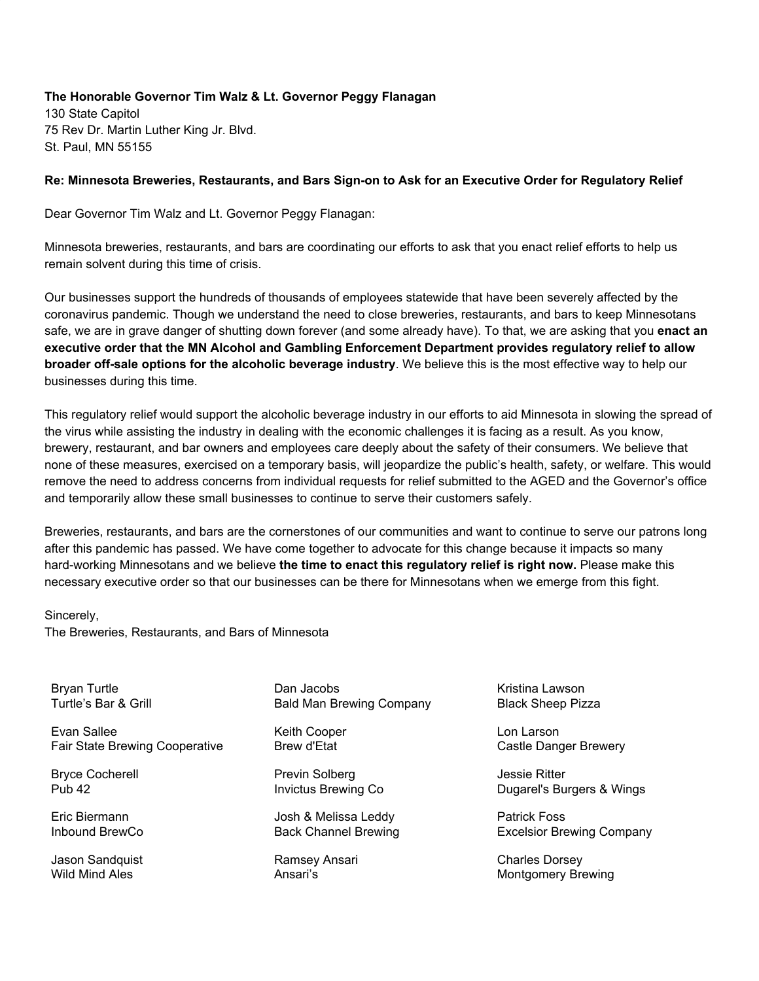## **The Honorable Governor Tim Walz & Lt. Governor Peggy Flanagan**

130 State Capitol 75 Rev Dr. Martin Luther King Jr. Blvd. St. Paul, MN 55155

## **Re: Minnesota Breweries, Restaurants, and Bars Sign-on to Ask for an Executive Order for Regulatory Relief**

Dear Governor Tim Walz and Lt. Governor Peggy Flanagan:

Minnesota breweries, restaurants, and bars are coordinating our efforts to ask that you enact relief efforts to help us remain solvent during this time of crisis.

Our businesses support the hundreds of thousands of employees statewide that have been severely affected by the coronavirus pandemic. Though we understand the need to close breweries, restaurants, and bars to keep Minnesotans safe, we are in grave danger of shutting down forever (and some already have). To that, we are asking that you **enact an executive order that the MN Alcohol and Gambling Enforcement Department provides regulatory relief to allow broader off-sale options for the alcoholic beverage industry**. We believe this is the most effective way to help our businesses during this time.

This regulatory relief would support the alcoholic beverage industry in our efforts to aid Minnesota in slowing the spread of the virus while assisting the industry in dealing with the economic challenges it is facing as a result. As you know, brewery, restaurant, and bar owners and employees care deeply about the safety of their consumers. We believe that none of these measures, exercised on a temporary basis, will jeopardize the public's health, safety, or welfare. This would remove the need to address concerns from individual requests for relief submitted to the AGED and the Governor's office and temporarily allow these small businesses to continue to serve their customers safely.

Breweries, restaurants, and bars are the cornerstones of our communities and want to continue to serve our patrons long after this pandemic has passed. We have come together to advocate for this change because it impacts so many hard-working Minnesotans and we believe **the time to enact this regulatory relief is right now.** Please make this necessary executive order so that our businesses can be there for Minnesotans when we emerge from this fight.

## Sincerely,

The Breweries, Restaurants, and Bars of Minnesota

Bryan Turtle Turtle's Bar & Grill

Evan Sallee Fair State Brewing Cooperative

Bryce Cocherell Pub 42

Eric Biermann Inbound BrewCo

Jason Sandquist Wild Mind Ales

Dan Jacobs Bald Man Brewing Company

Keith Cooper Brew d'Etat

Previn Solberg Invictus Brewing Co

Josh & Melissa Leddy Back Channel Brewing

Ramsey Ansari Ansari's

Kristina Lawson Black Sheep Pizza

Lon Larson Castle Danger Brewery

Jessie Ritter Dugarel's Burgers & Wings

Patrick Foss Excelsior Brewing Company

Charles Dorsey Montgomery Brewing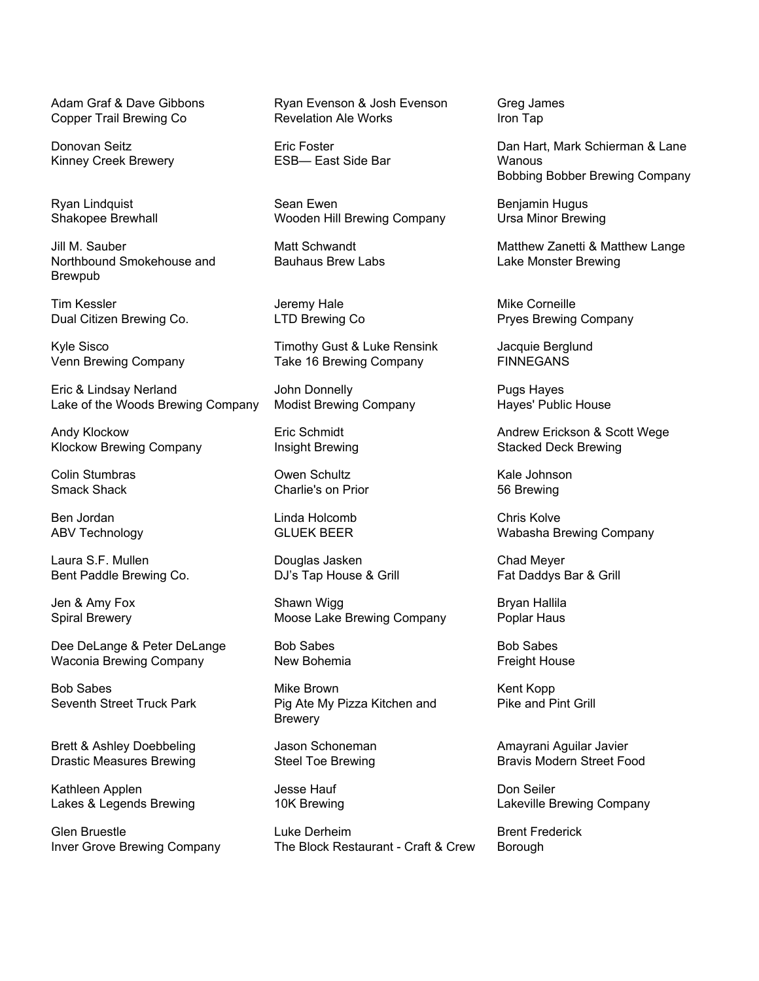Adam Graf & Dave Gibbons Copper Trail Brewing Co

Donovan Seitz Kinney Creek Brewery

Ryan Lindquist Shakopee Brewhall

Jill M. Sauber Northbound Smokehouse and Brewpub

Tim Kessler Dual Citizen Brewing Co.

Kyle Sisco Venn Brewing Company

Eric & Lindsay Nerland Lake of the Woods Brewing Company

Andy Klockow Klockow Brewing Company

Colin Stumbras Smack Shack

Ben Jordan ABV Technology

Laura S.F. Mullen Bent Paddle Brewing Co.

Jen & Amy Fox Spiral Brewery

Dee DeLange & Peter DeLange Waconia Brewing Company

Bob Sabes Seventh Street Truck Park

Brett & Ashley Doebbeling Drastic Measures Brewing

Kathleen Applen Lakes & Legends Brewing

Glen Bruestle Inver Grove Brewing Company Ryan Evenson & Josh Evenson Revelation Ale Works

Eric Foster ESB— East Side Bar

Sean Ewen Wooden Hill Brewing Company

Matt Schwandt Bauhaus Brew Labs

Jeremy Hale LTD Brewing Co

Timothy Gust & Luke Rensink Take 16 Brewing Company

John Donnelly Modist Brewing Company

Eric Schmidt Insight Brewing

Owen Schultz Charlie's on Prior

Linda Holcomb GLUEK BEER

Douglas Jasken DJ's Tap House & Grill

Shawn Wigg Moose Lake Brewing Company

Bob Sabes New Bohemia

Mike Brown Pig Ate My Pizza Kitchen and Brewery

Jason Schoneman Steel Toe Brewing

Jesse Hauf 10K Brewing

Luke Derheim The Block Restaurant - Craft & Crew Greg James Iron Tap

Dan Hart, Mark Schierman & Lane Wanous Bobbing Bobber Brewing Company

Benjamin Hugus Ursa Minor Brewing

Matthew Zanetti & Matthew Lange Lake Monster Brewing

Mike Corneille Pryes Brewing Company

Jacquie Berglund FINNEGANS

Pugs Hayes Hayes' Public House

Andrew Erickson & Scott Wege Stacked Deck Brewing

Kale Johnson 56 Brewing

Chris Kolve Wabasha Brewing Company

Chad Meyer Fat Daddys Bar & Grill

Bryan Hallila Poplar Haus

Bob Sabes Freight House

Kent Kopp Pike and Pint Grill

Amayrani Aguilar Javier Bravis Modern Street Food

Don Seiler Lakeville Brewing Company

Brent Frederick **Borough**